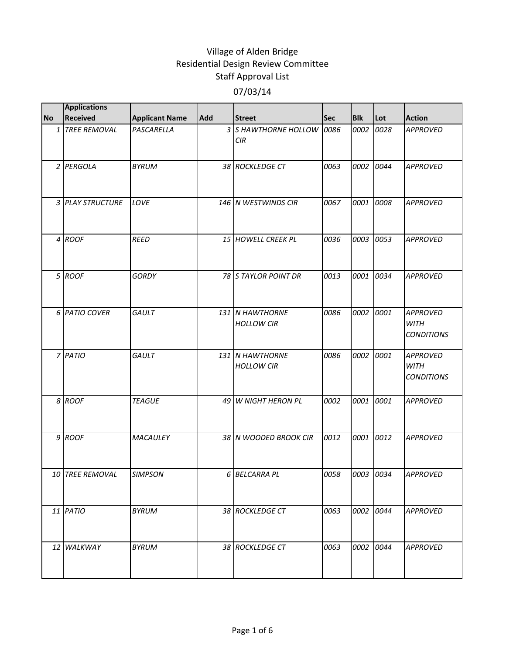|           | <b>Applications</b><br><b>Received</b> |                       | Add |                                      |      | <b>Blk</b> | Lot  | <b>Action</b>                                       |
|-----------|----------------------------------------|-----------------------|-----|--------------------------------------|------|------------|------|-----------------------------------------------------|
| <b>No</b> | 1 TREE REMOVAL                         | <b>Applicant Name</b> |     | <b>Street</b>                        | Sec  |            |      | <b>APPROVED</b>                                     |
|           |                                        | PASCARELLA            |     | 3 S HAWTHORNE HOLLOW<br><b>CIR</b>   | 0086 | 0002       | 0028 |                                                     |
|           | 2 PERGOLA                              | <b>BYRUM</b>          |     | 38 ROCKLEDGE CT                      | 0063 | 0002       | 0044 | <b>APPROVED</b>                                     |
|           | 3 PLAY STRUCTURE                       | LOVE                  |     | 146 N WESTWINDS CIR                  | 0067 | 0001       | 0008 | <b>APPROVED</b>                                     |
|           | 4 ROOF                                 | <b>REED</b>           |     | 15 HOWELL CREEK PL                   | 0036 | 0003       | 0053 | <b>APPROVED</b>                                     |
|           | 5 ROOF                                 | <b>GORDY</b>          |     | 78 S TAYLOR POINT DR                 | 0013 | 0001       | 0034 | <b>APPROVED</b>                                     |
|           | 6 PATIO COVER                          | GAULT                 |     | 131 N HAWTHORNE<br><b>HOLLOW CIR</b> | 0086 | 0002       | 0001 | <b>APPROVED</b><br><b>WITH</b><br><b>CONDITIONS</b> |
|           | 7 PATIO                                | GAULT                 |     | 131 N HAWTHORNE<br><b>HOLLOW CIR</b> | 0086 | 0002       | 0001 | <b>APPROVED</b><br><b>WITH</b><br><b>CONDITIONS</b> |
|           | 8 ROOF                                 | <b>TEAGUE</b>         | 49  | W NIGHT HERON PL                     | 0002 | 0001       | 0001 | <b>APPROVED</b>                                     |
|           | 9 ROOF                                 | MACAULEY              |     | 38 N WOODED BROOK CIR                | 0012 | 0001       | 0012 | <b>APPROVED</b>                                     |
|           | 10 TREE REMOVAL                        | <b>SIMPSON</b>        |     | 6 BELCARRA PL                        | 0058 | 0003 0034  |      | <b>APPROVED</b>                                     |
|           | 11 PATIO                               | <b>BYRUM</b>          |     | 38 ROCKLEDGE CT                      | 0063 | 0002 0044  |      | <b>APPROVED</b>                                     |
|           | 12 WALKWAY                             | <b>BYRUM</b>          |     | 38 ROCKLEDGE CT                      | 0063 | 0002       | 0044 | <b>APPROVED</b>                                     |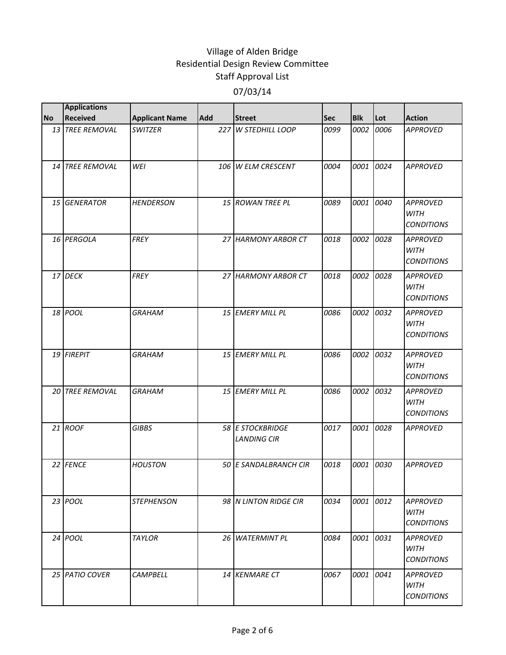|           | <b>Applications</b> |                       |     |                                        |      |            |      |                                                     |
|-----------|---------------------|-----------------------|-----|----------------------------------------|------|------------|------|-----------------------------------------------------|
| <b>No</b> | <b>Received</b>     | <b>Applicant Name</b> | Add | <b>Street</b>                          | Sec  | <b>Blk</b> | Lot  | <b>Action</b>                                       |
|           | 13 TREE REMOVAL     | <b>SWITZER</b>        | 227 | W STEDHILL LOOP                        | 0099 | 0002       | 0006 | <b>APPROVED</b>                                     |
|           | 14 TREE REMOVAL     | <b>WEI</b>            |     | 106 W ELM CRESCENT                     | 0004 | 0001       | 0024 | <b>APPROVED</b>                                     |
|           | 15 GENERATOR        | <b>HENDERSON</b>      |     | 15 ROWAN TREE PL                       | 0089 | 0001       | 0040 | <b>APPROVED</b><br><b>WITH</b><br><b>CONDITIONS</b> |
|           | 16 PERGOLA          | <b>FREY</b>           |     | 27 HARMONY ARBOR CT                    | 0018 | 0002       | 0028 | <b>APPROVED</b><br><b>WITH</b><br><b>CONDITIONS</b> |
|           | 17 DECK             | <b>FREY</b>           |     | 27 HARMONY ARBOR CT                    | 0018 | 0002       | 0028 | <b>APPROVED</b><br><b>WITH</b><br><b>CONDITIONS</b> |
|           | 18 POOL             | <b>GRAHAM</b>         |     | 15 EMERY MILL PL                       | 0086 | 0002       | 0032 | <b>APPROVED</b><br><b>WITH</b><br><b>CONDITIONS</b> |
|           | 19 FIREPIT          | <b>GRAHAM</b>         |     | 15 EMERY MILL PL                       | 0086 | 0002       | 0032 | <b>APPROVED</b><br><b>WITH</b><br><b>CONDITIONS</b> |
|           | 20 TREE REMOVAL     | <b>GRAHAM</b>         |     | 15 EMERY MILL PL                       | 0086 | 0002       | 0032 | <b>APPROVED</b><br><b>WITH</b><br><b>CONDITIONS</b> |
|           | 21 ROOF             | <b>GIBBS</b>          |     | 58 E STOCKBRIDGE<br><b>LANDING CIR</b> | 0017 | 0001       | 0028 | <b>APPROVED</b>                                     |
|           | 22 FENCE            | <b>HOUSTON</b>        |     | 50 E SANDALBRANCH CIR                  | 0018 | 0001       | 0030 | <b>APPROVED</b>                                     |
|           | 23 POOL             | <b>STEPHENSON</b>     |     | 98 N LINTON RIDGE CIR                  | 0034 | 0001       | 0012 | APPROVED<br><b>WITH</b><br><b>CONDITIONS</b>        |
|           | 24 POOL             | <b>TAYLOR</b>         | 26  | <b>WATERMINT PL</b>                    | 0084 | 0001       | 0031 | <b>APPROVED</b><br><b>WITH</b><br><b>CONDITIONS</b> |
|           | 25 PATIO COVER      | <b>CAMPBELL</b>       |     | 14 KENMARE CT                          | 0067 | 0001       | 0041 | <b>APPROVED</b><br>WITH<br><b>CONDITIONS</b>        |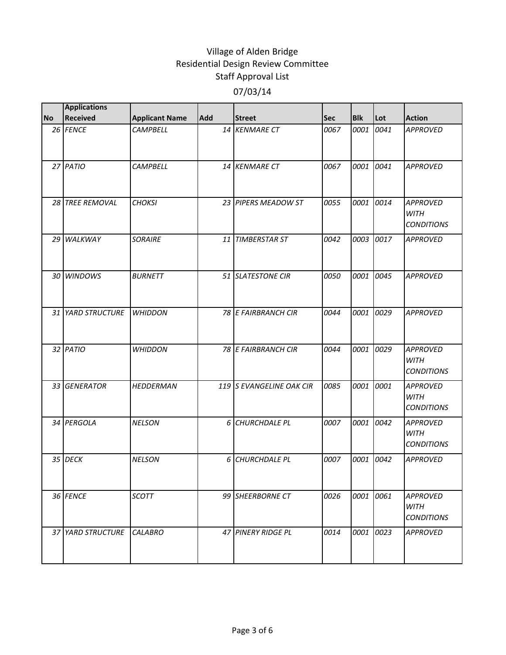|           | <b>Applications</b> |                       |            |                          |            |            |      |                                                     |
|-----------|---------------------|-----------------------|------------|--------------------------|------------|------------|------|-----------------------------------------------------|
| <b>No</b> | Received            | <b>Applicant Name</b> | <b>Add</b> | <b>Street</b>            | <b>Sec</b> | <b>Blk</b> | Lot  | <b>Action</b>                                       |
|           | 26 FENCE            | <b>CAMPBELL</b>       |            | 14 KENMARE CT            | 0067       | 0001       | 0041 | <b>APPROVED</b>                                     |
|           | 27 PATIO            | <b>CAMPBELL</b>       |            | 14 KENMARE CT            | 0067       | 0001       | 0041 | <b>APPROVED</b>                                     |
|           | 28 TREE REMOVAL     | <b>CHOKSI</b>         |            | 23 PIPERS MEADOW ST      | 0055       | 0001       | 0014 | <b>APPROVED</b><br>WITH<br><b>CONDITIONS</b>        |
|           | 29 WALKWAY          | <b>SORAIRE</b>        |            | 11 TIMBERSTAR ST         | 0042       | 0003       | 0017 | <b>APPROVED</b>                                     |
|           | 30 WINDOWS          | <b>BURNETT</b>        |            | 51 SLATESTONE CIR        | 0050       | 0001       | 0045 | <b>APPROVED</b>                                     |
|           | 31 YARD STRUCTURE   | <b>WHIDDON</b>        |            | 78 E FAIRBRANCH CIR      | 0044       | 0001       | 0029 | <b>APPROVED</b>                                     |
|           | 32 PATIO            | <b>WHIDDON</b>        |            | 78 E FAIRBRANCH CIR      | 0044       | 0001       | 0029 | <b>APPROVED</b><br><b>WITH</b><br><b>CONDITIONS</b> |
|           | 33 GENERATOR        | <b>HEDDERMAN</b>      |            | 119 S EVANGELINE OAK CIR | 0085       | 0001       | 0001 | <b>APPROVED</b><br><b>WITH</b><br><b>CONDITIONS</b> |
|           | 34 PERGOLA          | <b>NELSON</b>         |            | 6 CHURCHDALE PL          | 0007       | 0001       | 0042 | <b>APPROVED</b><br><b>WITH</b><br><b>CONDITIONS</b> |
|           | 35 DECK             | <b>NELSON</b>         |            | 6 CHURCHDALE PL          | 0007       | 0001       | 0042 | <b>APPROVED</b>                                     |
|           | 36 FENCE            | <b>SCOTT</b>          |            | 99 SHEERBORNE CT         | 0026       | 0001       | 0061 | <b>APPROVED</b><br>WITH<br><i>CONDITIONS</i>        |
|           | 37 YARD STRUCTURE   | <b>CALABRO</b>        |            | 47 PINERY RIDGE PL       | 0014       | 0001       | 0023 | <b>APPROVED</b>                                     |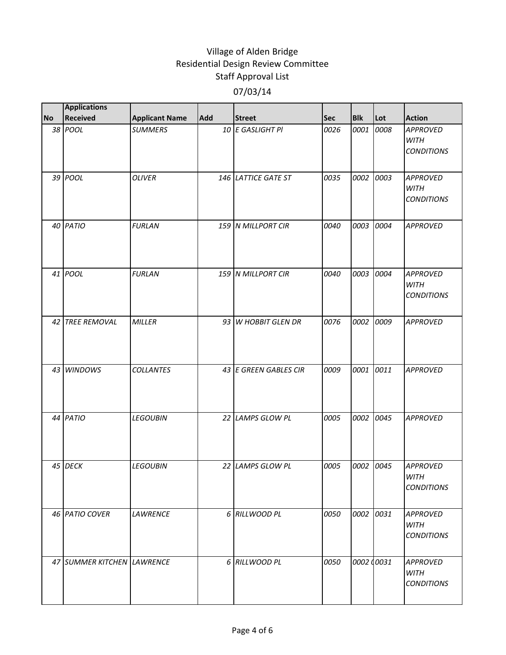|           | <b>Applications</b>        |                       |            |                         |            |            |      |                                                     |
|-----------|----------------------------|-----------------------|------------|-------------------------|------------|------------|------|-----------------------------------------------------|
| <b>No</b> | <b>Received</b>            | <b>Applicant Name</b> | <b>Add</b> | <b>Street</b>           | <b>Sec</b> | <b>Blk</b> | Lot  | <b>Action</b>                                       |
|           | 38 POOL                    | <b>SUMMERS</b>        |            | 10 E GASLIGHT PI        | 0026       | 0001       | 0008 | <b>APPROVED</b><br><b>WITH</b><br><b>CONDITIONS</b> |
|           | 39 POOL                    | <b>OLIVER</b>         |            | 146 LATTICE GATE ST     | 0035       | 0002       | 0003 | APPROVED<br><b>WITH</b><br><b>CONDITIONS</b>        |
|           | 40 PATIO                   | <b>FURLAN</b>         |            | 159 N MILLPORT CIR      | 0040       | 0003       | 0004 | <b>APPROVED</b>                                     |
|           | 41 POOL                    | <b>FURLAN</b>         |            | 159 N MILLPORT CIR      | 0040       | 0003       | 0004 | <b>APPROVED</b><br><b>WITH</b><br><b>CONDITIONS</b> |
|           | 42 TREE REMOVAL            | <b>MILLER</b>         | 93         | <b>W HOBBIT GLEN DR</b> | 0076       | 0002       | 0009 | <b>APPROVED</b>                                     |
|           | 43 WINDOWS                 | <b>COLLANTES</b>      |            | 43 E GREEN GABLES CIR   | 0009       | 0001       | 0011 | <b>APPROVED</b>                                     |
|           | 44 PATIO                   | <b>LEGOUBIN</b>       |            | 22 LAMPS GLOW PL        | 0005       | 0002       | 0045 | <b>APPROVED</b>                                     |
|           | 45 DECK                    | <b>LEGOUBIN</b>       |            | 22 LAMPS GLOW PL        | 0005       | 0002       | 0045 | <b>APPROVED</b><br>WITH<br><b>CONDITIONS</b>        |
|           | 46 PATIO COVER             | <b>LAWRENCE</b>       |            | 6 RILLWOOD PL           | 0050       | 0002       | 0031 | <b>APPROVED</b><br><b>WITH</b><br><b>CONDITIONS</b> |
|           | 47 SUMMER KITCHEN LAWRENCE |                       |            | 6 RILLWOOD PL           | 0050       | 0002 00031 |      | <b>APPROVED</b><br><b>WITH</b><br><b>CONDITIONS</b> |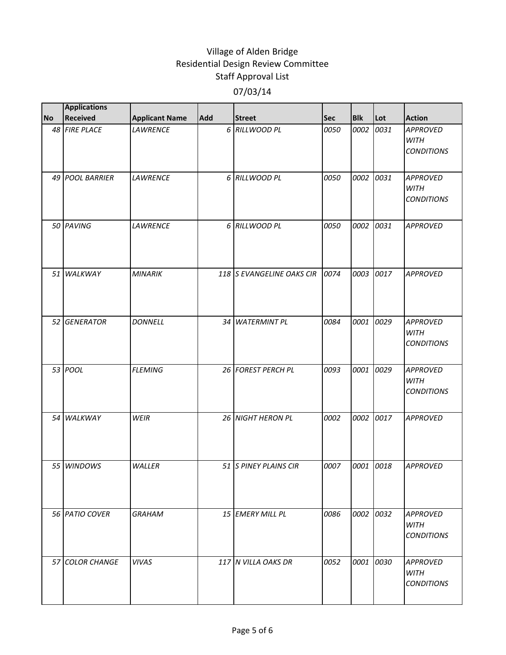|           | <b>Applications</b> |                       |            |                           |            |            |      |                                                     |
|-----------|---------------------|-----------------------|------------|---------------------------|------------|------------|------|-----------------------------------------------------|
| <b>No</b> | <b>Received</b>     | <b>Applicant Name</b> | <b>Add</b> | <b>Street</b>             | <b>Sec</b> | <b>Blk</b> | Lot  | <b>Action</b>                                       |
|           | 48 FIRE PLACE       | <b>LAWRENCE</b>       |            | 6 RILLWOOD PL             | 0050       | 0002       | 0031 | <b>APPROVED</b><br><b>WITH</b><br><b>CONDITIONS</b> |
|           | 49 POOL BARRIER     | <b>LAWRENCE</b>       |            | 6 RILLWOOD PL             | 0050       | 0002       | 0031 | <b>APPROVED</b><br><b>WITH</b><br><b>CONDITIONS</b> |
|           | 50 PAVING           | <b>LAWRENCE</b>       |            | 6 RILLWOOD PL             | 0050       | 0002       | 0031 | <b>APPROVED</b>                                     |
|           | 51 WALKWAY          | <b>MINARIK</b>        |            | 118 S EVANGELINE OAKS CIR | 0074       | 0003       | 0017 | <b>APPROVED</b>                                     |
|           | 52 GENERATOR        | <b>DONNELL</b>        | 34 I       | <b>WATERMINT PL</b>       | 0084       | 0001       | 0029 | <b>APPROVED</b><br>WITH<br><b>CONDITIONS</b>        |
|           | 53 POOL             | <b>FLEMING</b>        |            | 26 FOREST PERCH PL        | 0093       | 0001       | 0029 | <b>APPROVED</b><br><b>WITH</b><br><b>CONDITIONS</b> |
|           | 54 WALKWAY          | WEIR                  |            | 26 NIGHT HERON PL         | 0002       | 0002       | 0017 | <b>APPROVED</b>                                     |
|           | 55 WINDOWS          | WALLER                |            | 51 S PINEY PLAINS CIR     | 0007       | 0001       | 0018 | <b>APPROVED</b>                                     |
|           | 56 PATIO COVER      | <b>GRAHAM</b>         |            | 15 EMERY MILL PL          | 0086       | 0002       | 0032 | <b>APPROVED</b><br><b>WITH</b><br><b>CONDITIONS</b> |
|           | 57 COLOR CHANGE     | <b>VIVAS</b>          |            | 117 N VILLA OAKS DR       | 0052       | 0001       | 0030 | <b>APPROVED</b><br><b>WITH</b><br><b>CONDITIONS</b> |